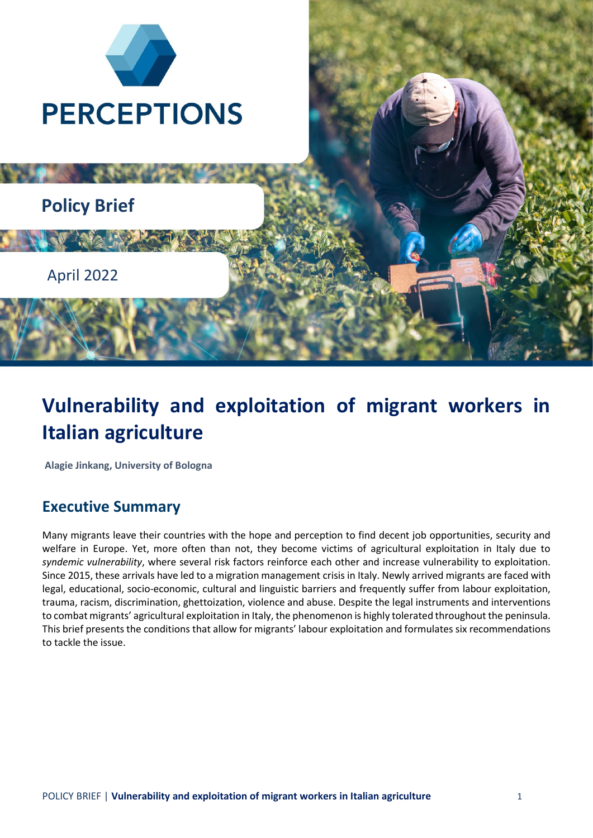

# **Vulnerability and exploitation of migrant workers in Italian agriculture**

**Alagie Jinkang, University of Bologna** 

### **Executive Summary**

Many migrants leave their countries with the hope and perception to find decent job opportunities, security and welfare in Europe. Yet, more often than not, they become victims of agricultural exploitation in Italy due to *syndemic vulnerability*, where several risk factors reinforce each other and increase vulnerability to exploitation. Since 2015, these arrivals have led to a migration management crisis in Italy. Newly arrived migrants are faced with legal, educational, socio-economic, cultural and linguistic barriers and frequently suffer from labour exploitation, trauma, racism, discrimination, ghettoization, violence and abuse. Despite the legal instruments and interventions to combat migrants' agricultural exploitation in Italy, the phenomenon is highly tolerated throughout the peninsula. This brief presents the conditions that allow for migrants' labour exploitation and formulates six recommendations to tackle the issue.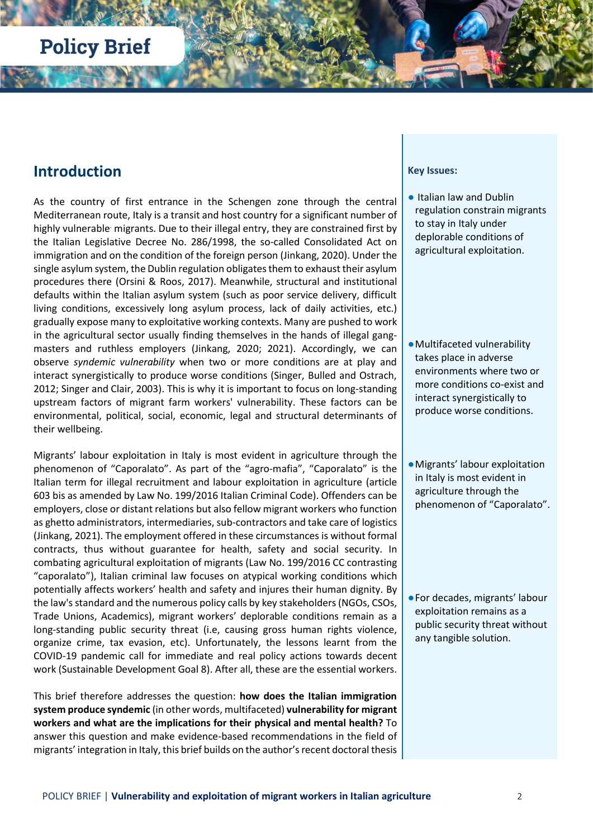### **Introduction**

As the country of first entrance in the Schengen zone through the central Mediterranean route, Italy is a transit and host country for a significant number of highly vulnerable. migrants. Due to their illegal entry, they are constrained first by the Italian Legislative Decree No. 286/1998, the so-called Consolidated Act on immigration and on the condition of the foreign person (Jinkang, 2020). Under the single asylum system, the Dublin regulation obligates them to exhaust their asylum procedures there (Orsini & Roos, 2017). Meanwhile, structural and institutional defaults within the Italian asylum system (such as poor service delivery, difficult living conditions, excessively long asylum process, lack of daily activities, etc.) gradually expose many to exploitative working contexts. Many are pushed to work in the agricultural sector usually finding themselves in the hands of illegal gangmasters and ruthless employers (Jinkang, 2020; 2021). Accordingly, we can observe *syndemic vulnerability* when two or more conditions are at play and interact synergistically to produce worse conditions (Singer, Bulled and Ostrach, 2012; Singer and Clair, 2003). This is why it is important to focus on long-standing upstream factors of migrant farm workers' vulnerability. These factors can be environmental, political, social, economic, legal and structural determinants of their wellbeing.

Migrants' labour exploitation in Italy is most evident in agriculture through the phenomenon of "Caporalato". As part of the "agro-mafia", "Caporalato" is the Italian term for illegal recruitment and labour exploitation in agriculture (article 603 bis as amended by Law No. 199/2016 Italian Criminal Code). Offenders can be employers, close or distant relations but also fellow migrant workers who function as ghetto administrators, intermediaries, sub-contractors and take care of logistics (Jinkang, 2021). The employment offered in these circumstances is without formal contracts, thus without guarantee for health, safety and social security. In combating agricultural exploitation of migrants (Law No. 199/2016 CC contrasting "caporalato"), Italian criminal law focuses on atypical working conditions which potentially affects workers' health and safety and injures their human dignity. By the law's standard and the numerous policy calls by key stakeholders (NGOs, CSOs, Trade Unions, Academics), migrant workers' deplorable conditions remain as a long-standing public security threat (i.e, causing gross human rights violence, organize crime, tax evasion, etc). Unfortunately, the lessons learnt from the COVID-19 pandemic call for immediate and real policy actions towards decent work (Sustainable Development Goal 8). After all, these are the essential workers.

This brief therefore addresses the question: **how does the Italian immigration system produce syndemic** (in other words, multifaceted) **vulnerability for migrant workers and what are the implications for their physical and mental health?** To answer this question and make evidence-based recommendations in the field of migrants' integration in Italy, this brief builds on the author's recent doctoral thesis

#### **Key Issues:**

- Italian law and Dublin regulation constrain migrants to stay in Italy under deplorable conditions of agricultural exploitation.
- ●Multifaceted vulnerability takes place in adverse environments where two or more conditions co-exist and interact synergistically to produce worse conditions.
- ●Migrants' labour exploitation in Italy is most evident in agriculture through the phenomenon of "Caporalato".
- ●For decades, migrants' labour exploitation remains as a public security threat without any tangible solution.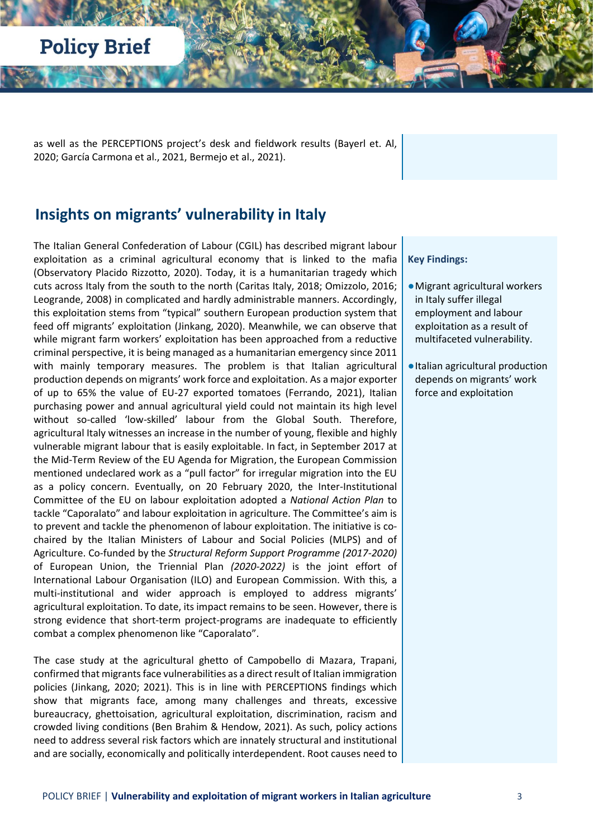as well as the PERCEPTIONS project's desk and fieldwork results (Bayerl et. Al, 2020; García Carmona et al., 2021, Bermejo et al., 2021).

### **Insights on migrants' vulnerability in Italy**

The Italian General Confederation of Labour (CGIL) has described migrant labour exploitation as a criminal agricultural economy that is linked to the mafia (Observatory Placido Rizzotto, 2020). Today, it is a humanitarian tragedy which cuts across Italy from the south to the north (Caritas Italy, 2018; Omizzolo, 2016; Leogrande, 2008) in complicated and hardly administrable manners. Accordingly, this exploitation stems from "typical" southern European production system that feed off migrants' exploitation (Jinkang, 2020). Meanwhile, we can observe that while migrant farm workers' exploitation has been approached from a reductive criminal perspective, it is being managed as a humanitarian emergency since 2011 with mainly temporary measures. The problem is that Italian agricultural production depends on migrants' work force and exploitation. As a major exporter of up to 65% the value of EU-27 exported tomatoes (Ferrando, 2021), Italian purchasing power and annual agricultural yield could not maintain its high level without so-called 'low-skilled' labour from the Global South. Therefore, agricultural Italy witnesses an increase in the number of young, flexible and highly vulnerable migrant labour that is easily exploitable. In fact, in September 2017 at the Mid-Term Review of the EU Agenda for Migration, the European Commission mentioned undeclared work as a "pull factor" for irregular migration into the EU as a policy concern. Eventually, on 20 February 2020, the Inter-Institutional Committee of the EU on labour exploitation adopted a *National Action Plan* to tackle "Caporalato" and labour exploitation in agriculture. The Committee's aim is to prevent and tackle the phenomenon of labour exploitation. The initiative is cochaired by the Italian Ministers of Labour and Social Policies (MLPS) and of Agriculture. Co-funded by the *Structural Reform Support Programme (2017-2020)*  of European Union, the Triennial Plan *(2020-2022)* is the joint effort of International Labour Organisation (ILO) and European Commission. With this*,* a multi-institutional and wider approach is employed to address migrants' agricultural exploitation. To date, its impact remains to be seen. However, there is strong evidence that short-term project-programs are inadequate to efficiently combat a complex phenomenon like "Caporalato".

The case study at the agricultural ghetto of Campobello di Mazara, Trapani, confirmed that migrants face vulnerabilities as a direct result of Italian immigration policies (Jinkang, 2020; 2021). This is in line with PERCEPTIONS findings which show that migrants face, among many challenges and threats, excessive bureaucracy, ghettoisation, agricultural exploitation, discrimination, racism and crowded living conditions (Ben Brahim & Hendow, 2021). As such, policy actions need to address several risk factors which are innately structural and institutional and are socially, economically and politically interdependent. Root causes need to

#### **Key Findings:**

- ●Migrant agricultural workers in Italy suffer illegal employment and labour exploitation as a result of multifaceted vulnerability.
- ●Italian agricultural production depends on migrants' work force and exploitation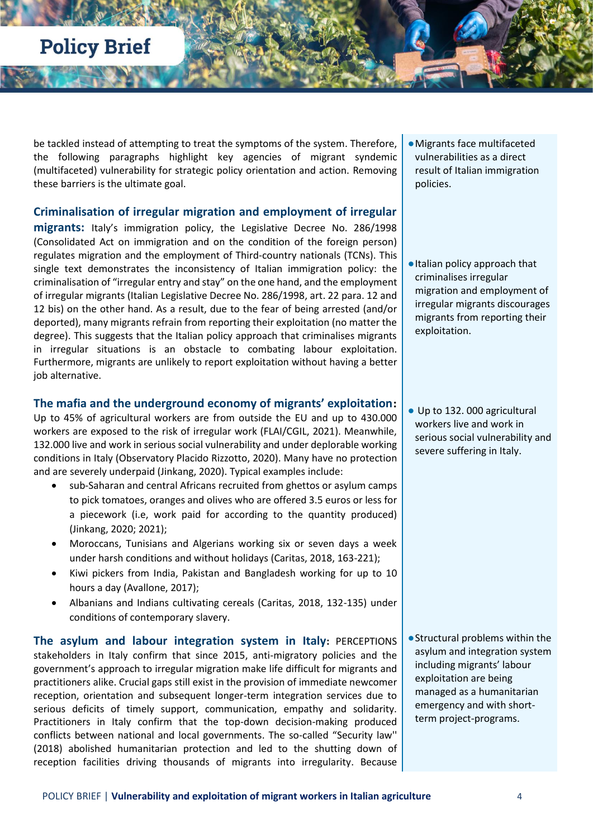be tackled instead of attempting to treat the symptoms of the system. Therefore, the following paragraphs highlight key agencies of migrant syndemic (multifaceted) vulnerability for strategic policy orientation and action. Removing these barriers is the ultimate goal.

#### **Criminalisation of irregular migration and employment of irregular**

**migrants:** Italy's immigration policy, the Legislative Decree No. 286/1998 (Consolidated Act on immigration and on the condition of the foreign person) regulates migration and the employment of Third-country nationals (TCNs). This single text demonstrates the inconsistency of Italian immigration policy: the criminalisation of "irregular entry and stay" on the one hand, and the employment of irregular migrants (Italian Legislative Decree No. 286/1998, art. 22 para. 12 and 12 bis) on the other hand. As a result, due to the fear of being arrested (and/or deported), many migrants refrain from reporting their exploitation (no matter the degree). This suggests that the Italian policy approach that criminalises migrants in irregular situations is an obstacle to combating labour exploitation. Furthermore, migrants are unlikely to report exploitation without having a better job alternative.

#### **The mafia and the underground economy of migrants' exploitation:**

Up to 45% of agricultural workers are from outside the EU and up to 430.000 workers are exposed to the risk of irregular work (FLAI/CGIL, 2021). Meanwhile, 132.000 live and work in serious social vulnerability and under deplorable working conditions in Italy (Observatory Placido Rizzotto, 2020). Many have no protection and are severely underpaid (Jinkang, 2020). Typical examples include:

- sub-Saharan and central Africans recruited from ghettos or asylum camps to pick tomatoes, oranges and olives who are offered 3.5 euros or less for a piecework (i.e, work paid for according to the quantity produced) (Jinkang, 2020; 2021);
- Moroccans, Tunisians and Algerians working six or seven days a week under harsh conditions and without holidays (Caritas, 2018, 163-221);
- Kiwi pickers from India, Pakistan and Bangladesh working for up to 10 hours a day (Avallone, 2017);
- Albanians and Indians cultivating cereals (Caritas, 2018, 132-135) under conditions of contemporary slavery.

**The asylum and labour integration system in Italy:** PERCEPTIONS stakeholders in Italy confirm that since 2015, anti-migratory policies and the government's approach to irregular migration make life difficult for migrants and practitioners alike. Crucial gaps still exist in the provision of immediate newcomer reception, orientation and subsequent longer-term integration services due to serious deficits of timely support, communication, empathy and solidarity. Practitioners in Italy confirm that the top-down decision-making produced conflicts between national and local governments. The so-called "Security law'' (2018) abolished humanitarian protection and led to the shutting down of reception facilities driving thousands of migrants into irregularity. Because

- ●Migrants face multifaceted vulnerabilities as a direct result of Italian immigration policies.
- ●Italian policy approach that criminalises irregular migration and employment of irregular migrants discourages migrants from reporting their exploitation.

● Up to 132. 000 agricultural workers live and work in serious social vulnerability and severe suffering in Italy.

●Structural problems within the asylum and integration system including migrants' labour exploitation are being managed as a humanitarian emergency and with shortterm project-programs.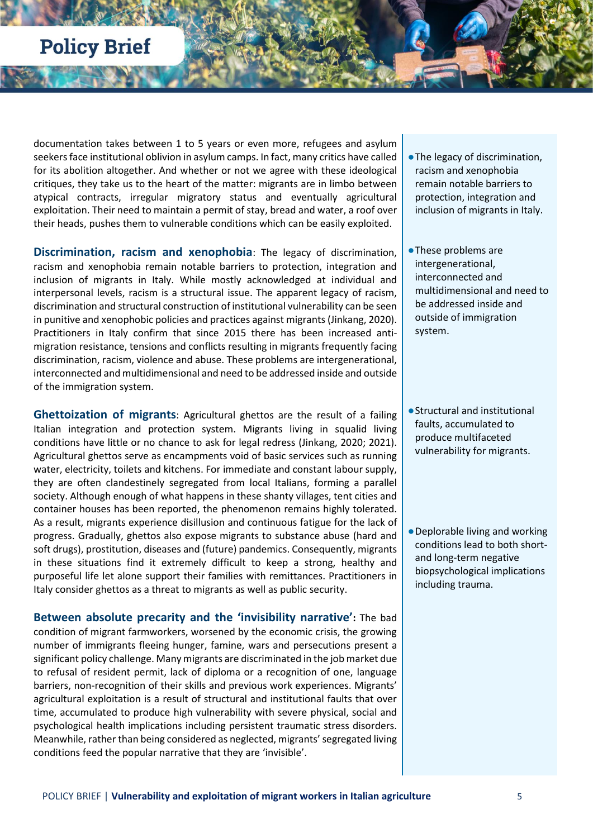documentation takes between 1 to 5 years or even more, refugees and asylum seekers face institutional oblivion in asylum camps. In fact, many critics have called for its abolition altogether. And whether or not we agree with these ideological critiques, they take us to the heart of the matter: migrants are in limbo between atypical contracts, irregular migratory status and eventually agricultural exploitation. Their need to maintain a permit of stay, bread and water, a roof over their heads, pushes them to vulnerable conditions which can be easily exploited.

**Discrimination, racism and xenophobia**: The legacy of discrimination, racism and xenophobia remain notable barriers to protection, integration and inclusion of migrants in Italy. While mostly acknowledged at individual and interpersonal levels, racism is a structural issue. The apparent legacy of racism, discrimination and structural construction of institutional vulnerability can be seen in punitive and xenophobic policies and practices against migrants (Jinkang, 2020). Practitioners in Italy confirm that since 2015 there has been increased antimigration resistance, tensions and conflicts resulting in migrants frequently facing discrimination, racism, violence and abuse. These problems are intergenerational, interconnected and multidimensional and need to be addressed inside and outside of the immigration system.

**Ghettoization of migrants**: Agricultural ghettos are the result of a failing Italian integration and protection system. Migrants living in squalid living conditions have little or no chance to ask for legal redress (Jinkang, 2020; 2021). Agricultural ghettos serve as encampments void of basic services such as running water, electricity, toilets and kitchens. For immediate and constant labour supply, they are often clandestinely segregated from local Italians, forming a parallel society. Although enough of what happens in these shanty villages, tent cities and container houses has been reported, the phenomenon remains highly tolerated. As a result, migrants experience disillusion and continuous fatigue for the lack of progress. Gradually, ghettos also expose migrants to substance abuse (hard and soft drugs), prostitution, diseases and (future) pandemics. Consequently, migrants in these situations find it extremely difficult to keep a strong, healthy and purposeful life let alone support their families with remittances. Practitioners in Italy consider ghettos as a threat to migrants as well as public security.

**Between absolute precarity and the 'invisibility narrative':** The bad condition of migrant farmworkers, worsened by the economic crisis, the growing number of immigrants fleeing hunger, famine, wars and persecutions present a significant policy challenge. Many migrants are discriminated in the job market due to refusal of resident permit, lack of diploma or a recognition of one, language barriers, non-recognition of their skills and previous work experiences. Migrants' agricultural exploitation is a result of structural and institutional faults that over time, accumulated to produce high vulnerability with severe physical, social and psychological health implications including persistent traumatic stress disorders. Meanwhile, rather than being considered as neglected, migrants' segregated living conditions feed the popular narrative that they are 'invisible'.

- ●The legacy of discrimination, racism and xenophobia remain notable barriers to protection, integration and inclusion of migrants in Italy.
- ●These problems are intergenerational, interconnected and multidimensional and need to be addressed inside and outside of immigration system.
- Structural and institutional faults, accumulated to produce multifaceted vulnerability for migrants.
- ●Deplorable living and working conditions lead to both shortand long-term negative biopsychological implications including trauma.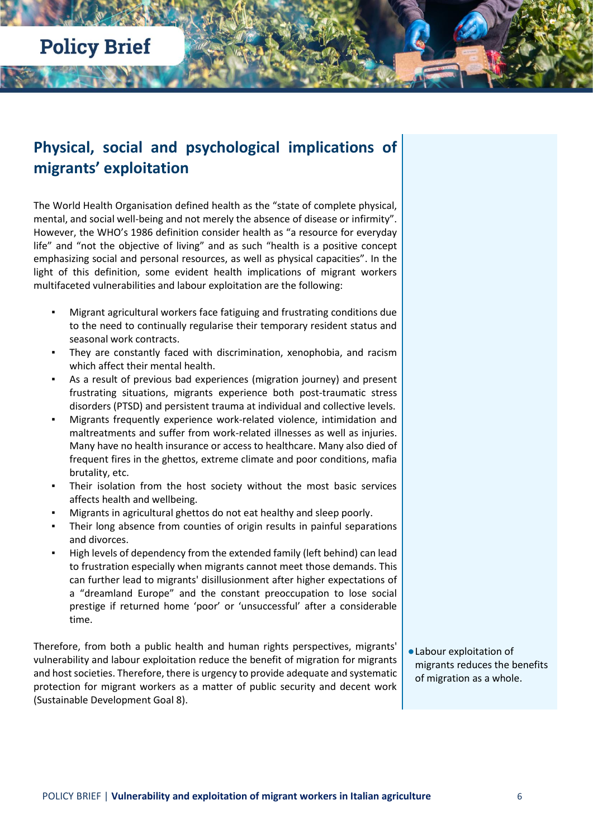## **Physical, social and psychological implications of migrants' exploitation**

The World Health Organisation defined health as the "state of complete physical, mental, and social well-being and not merely the absence of disease or infirmity". However, the WHO's 1986 definition consider health as "a resource for everyday life" and "not the objective of living" and as such "health is a positive concept emphasizing social and personal resources, as well as physical capacities". In the light of this definition, some evident health implications of migrant workers multifaceted vulnerabilities and labour exploitation are the following:

- Migrant agricultural workers face fatiguing and frustrating conditions due to the need to continually regularise their temporary resident status and seasonal work contracts.
- They are constantly faced with discrimination, xenophobia, and racism which affect their mental health.
- As a result of previous bad experiences (migration journey) and present frustrating situations, migrants experience both post-traumatic stress disorders (PTSD) and persistent trauma at individual and collective levels.
- Migrants frequently experience work-related violence, intimidation and maltreatments and suffer from work-related illnesses as well as injuries. Many have no health insurance or access to healthcare. Many also died of frequent fires in the ghettos, extreme climate and poor conditions, mafia brutality, etc.
- Their isolation from the host society without the most basic services affects health and wellbeing.
- Migrants in agricultural ghettos do not eat healthy and sleep poorly.
- Their long absence from counties of origin results in painful separations and divorces.
- High levels of dependency from the extended family (left behind) can lead to frustration especially when migrants cannot meet those demands. This can further lead to migrants' disillusionment after higher expectations of a "dreamland Europe" and the constant preoccupation to lose social prestige if returned home 'poor' or 'unsuccessful' after a considerable time.

Therefore, from both a public health and human rights perspectives, migrants' vulnerability and labour exploitation reduce the benefit of migration for migrants and host societies. Therefore, there is urgency to provide adequate and systematic protection for migrant workers as a matter of public security and decent work (Sustainable Development Goal 8).

●Labour exploitation of migrants reduces the benefits of migration as a whole.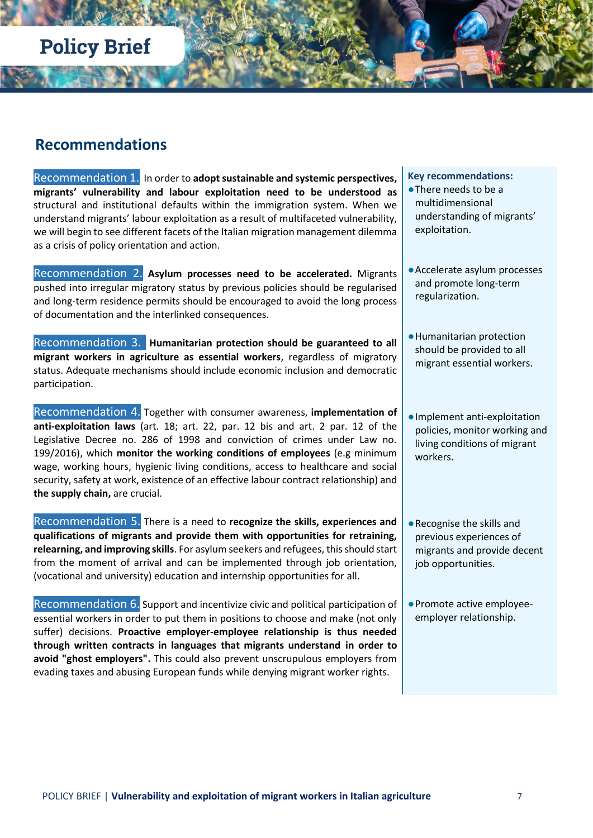### **Recommendations**

Recommendation 1. In order to adopt sustainable and systemic perspectives, **migrants' vulnerability and labour exploitation need to be understood as**  structural and institutional defaults within the immigration system. When we understand migrants' labour exploitation as a result of multifaceted vulnerability, we will begin to see different facets of the Italian migration management dilemma as a crisis of policy orientation and action.

Recommendation 2. **Asylum processes need to be accelerated.** Migrants pushed into irregular migratory status by previous policies should be regularised and long-term residence permits should be encouraged to avoid the long process of documentation and the interlinked consequences.

Recommendation 3. **Humanitarian protection should be guaranteed to all migrant workers in agriculture as essential workers**, regardless of migratory status. Adequate mechanisms should include economic inclusion and democratic participation.

Recommendation 4. Together with consumer awareness, **implementation of anti-exploitation laws** (art. 18; art. 22, par. 12 bis and art. 2 par. 12 of the Legislative Decree no. 286 of 1998 and conviction of crimes under Law no. 199/2016), which **monitor the working conditions of employees** (e.g minimum wage, working hours, hygienic living conditions, access to healthcare and social security, safety at work, existence of an effective labour contract relationship) and **the supply chain,** are crucial.

Recommendation 5. There is a need to **recognize the skills, experiences and qualifications of migrants and provide them with opportunities for retraining, relearning, and improving skills**. For asylum seekers and refugees, this should start from the moment of arrival and can be implemented through job orientation, (vocational and university) education and internship opportunities for all.

Recommendation 6. Support and incentivize civic and political participation of essential workers in order to put them in positions to choose and make (not only suffer) decisions. **Proactive employer-employee relationship is thus needed through written contracts in languages that migrants understand in order to avoid "ghost employers".** This could also prevent unscrupulous employers from evading taxes and abusing European funds while denying migrant worker rights.

#### **Key recommendations:**

- ●There needs to be a multidimensional understanding of migrants' exploitation.
- ●Accelerate asylum processes and promote long-term regularization.
- ●Humanitarian protection should be provided to all migrant essential workers.
- ●Implement anti-exploitation policies, monitor working and living conditions of migrant workers.
- ●Recognise the skills and previous experiences of migrants and provide decent job opportunities.
- ●Promote active employeeemployer relationship.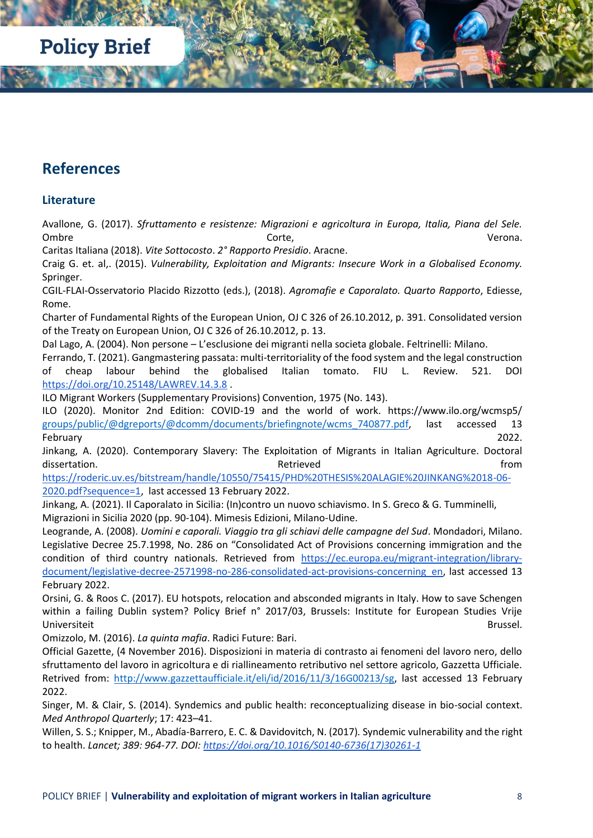### **References**

#### **Literature**

Avallone, G. (2017). *Sfruttamento e resistenze: Migrazioni e agricoltura in Europa, Italia, Piana del Sele.*  Ombre 2008 and 2008 Corte, compared to the Corte, compared to the Corte Corte Corte Corte Corte Corte Corte Co

Caritas Italiana (2018). *Vite Sottocosto*. *2° Rapporto Presidio*. Aracne.

Craig G. et. al,. (2015). *Vulnerability, Exploitation and Migrants: Insecure Work in a Globalised Economy.*  Springer.

CGIL-FLAI-Osservatorio Placido Rizzotto (eds.), (2018). *Agromafie e Caporalato. Quarto Rapporto*, Ediesse, Rome.

Charter of Fundamental Rights of the European Union, OJ C 326 of 26.10.2012, p. 391. Consolidated version of the Treaty on European Union, OJ C 326 of 26.10.2012, p. 13.

Dal Lago, A. (2004). Non persone – L'esclusione dei migranti nella societa globale. Feltrinelli: Milano.

Ferrando, T. (2021). Gangmastering passata: multi-territoriality of the food system and the legal construction of cheap labour behind the globalised Italian tomato. FIU L. Review. 521. DOI <https://doi.org/10.25148/LAWREV.14.3.8> .

ILO Migrant Workers (Supplementary Provisions) Convention, 1975 (No. 143).

ILO (2020). Monitor 2nd Edition: COVID-19 and the world of work. https://www.ilo.org/wcmsp5/ [groups/public/@dgreports/@dcomm/documents/briefingnote/wcms\\_740877.pdf,](mailto:groups/public/@dgreports/@dcomm/documents/briefingnote/wcms_740877.pdf) last accessed 13 February 2022.

Jinkang, A. (2020). Contemporary Slavery: The Exploitation of Migrants in Italian Agriculture. Doctoral dissertation. The contraction of the contraction of  $\blacksquare$  Retrieved from the from the from the from the from  $\blacksquare$ 

[https://roderic.uv.es/bitstream/handle/10550/75415/PHD%20THESIS%20ALAGIE%20JINKANG%2018-06-](https://roderic.uv.es/bitstream/handle/10550/75415/PHD%20THESIS%20ALAGIE%20JINKANG%2018-06-2020.pdf?sequence=1) [2020.pdf?sequence=1,](https://roderic.uv.es/bitstream/handle/10550/75415/PHD%20THESIS%20ALAGIE%20JINKANG%2018-06-2020.pdf?sequence=1) last accessed 13 February 2022.

Jinkang, A. (2021). Il Caporalato in Sicilia: (In)contro un nuovo schiavismo. In S. Greco & G. Tumminelli, Migrazioni in Sicilia 2020 (pp. 90-104). Mimesis Edizioni, Milano-Udine.

Leogrande, A. (2008). *Uomini e caporali. Viaggio tra gli schiavi delle campagne del Sud*. Mondadori, Milano. Legislative Decree 25.7.1998, No. 286 on "Consolidated Act of Provisions concerning immigration and the condition of third country nationals. Retrieved from [https://ec.europa.eu/migrant-integration/library](https://ec.europa.eu/migrant-integration/library-document/legislative-decree-2571998-no-286-consolidated-act-provisions-concerning_en)[document/legislative-decree-2571998-no-286-consolidated-act-provisions-concerning\\_en,](https://ec.europa.eu/migrant-integration/library-document/legislative-decree-2571998-no-286-consolidated-act-provisions-concerning_en) last accessed 13 February 2022.

Orsini, G. & Roos C. (2017). EU hotspots, relocation and absconded migrants in Italy. How to save Schengen within a failing Dublin system? Policy Brief n° 2017/03, Brussels: Institute for European Studies Vrije Universiteit Brussel.

Omizzolo, M. (2016). *La quinta mafia*. Radici Future: Bari.

Official Gazette, (4 November 2016). Disposizioni in materia di contrasto ai fenomeni del lavoro nero, dello sfruttamento del lavoro in agricoltura e di riallineamento retributivo nel settore agricolo, Gazzetta Ufficiale. Retrived from: [http://www.gazzettaufficiale.it/eli/id/2016/11/3/16G00213/sg,](http://www.gazzettaufficiale.it/eli/id/2016/11/3/16G00213/sg) last accessed 13 February 2022.

Singer, M. & Clair, S. (2014). Syndemics and public health: reconceptualizing disease in bio-social context. *Med Anthropol Quarterly*; 17: 423–41.

Willen, S. S.; Knipper, M., Abadía-Barrero, E. C. & Davidovitch, N. (2017)*.* Syndemic vulnerability and the right to health. *Lancet; 389: 964-77. DOI: [https://doi.org/10.1016/S0140-6736\(17\)30261-1](https://doi.org/10.1016/S0140-6736(17)30261-1)*